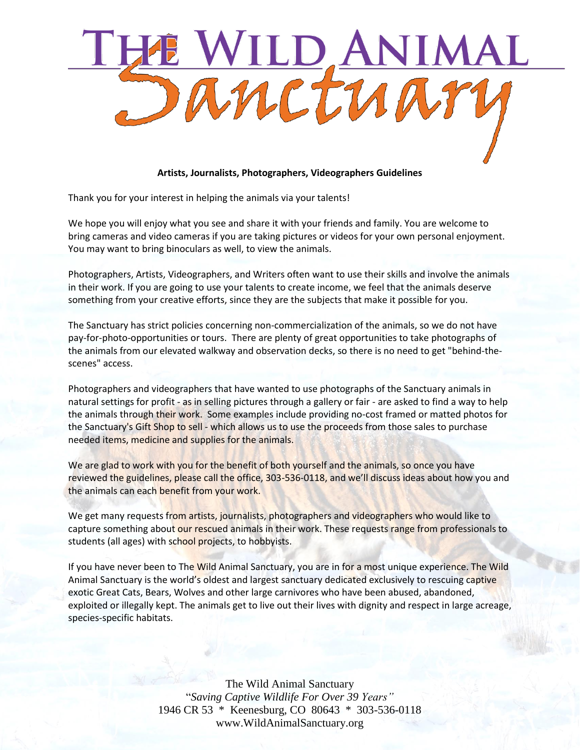

## **Artists, Journalists, Photographers, Videographers Guidelines**

Thank you for your interest in helping the animals via your talents!

We hope you will enjoy what you see and share it with your friends and family. You are welcome to bring cameras and video cameras if you are taking pictures or videos for your own personal enjoyment. You may want to bring binoculars as well, to view the animals.

Photographers, Artists, Videographers, and Writers often want to use their skills and involve the animals in their work. If you are going to use your talents to create income, we feel that the animals deserve something from your creative efforts, since they are the subjects that make it possible for you.

The Sanctuary has strict policies concerning non-commercialization of the animals, so we do not have pay-for-photo-opportunities or tours. There are plenty of great opportunities to take photographs of the animals from our elevated walkway and observation decks, so there is no need to get "behind-thescenes" access.

Photographers and videographers that have wanted to use photographs of the Sanctuary animals in natural settings for profit - as in selling pictures through a gallery or fair - are asked to find a way to help the animals through their work. Some examples include providing no-cost framed or matted photos for the Sanctuary's Gift Shop to sell - which allows us to use the proceeds from those sales to purchase needed items, medicine and supplies for the animals.

We are glad to work with you for the benefit of both yourself and the animals, so once you have reviewed the guidelines, please call the office, 303-536-0118, and we'll discuss ideas about how you and the animals can each benefit from your work.

We get many requests from artists, journalists, photographers and videographers who would like to capture something about our rescued animals in their work. These requests range from professionals to students (all ages) with school projects, to hobbyists.

If you have never been to The Wild Animal Sanctuary, you are in for a most unique experience. The Wild Animal Sanctuary is the world's oldest and largest sanctuary dedicated exclusively to rescuing captive exotic Great Cats, Bears, Wolves and other large carnivores who have been abused, abandoned, exploited or illegally kept. The animals get to live out their lives with dignity and respect in large acreage, species-specific habitats.

> The Wild Animal Sanctuary "*Saving Captive Wildlife For Over 39 Years"* 1946 CR 53 \* Keenesburg, CO 80643 \* 303-536-0118 www.WildAnimalSanctuary.org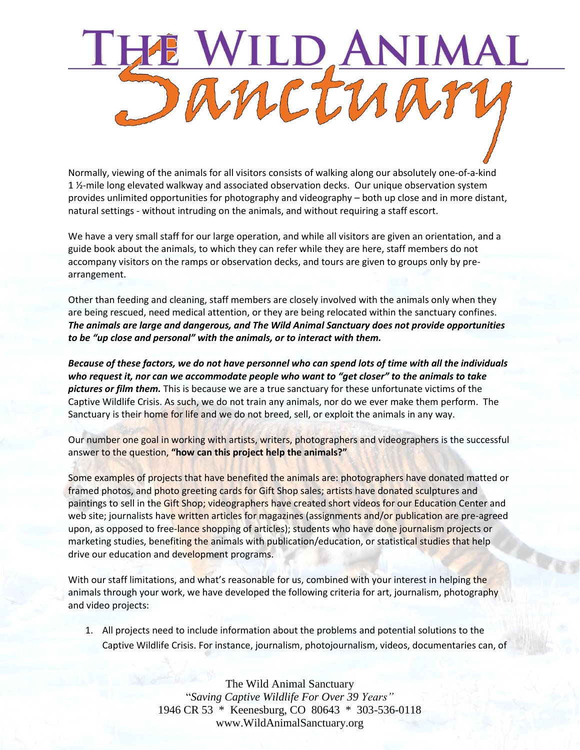## E WILD ANI NIMA

Normally, viewing of the animals for all visitors consists of walking along our absolutely one-of-a-kind 1 ½-mile long elevated walkway and associated observation decks. Our unique observation system provides unlimited opportunities for photography and videography – both up close and in more distant, natural settings - without intruding on the animals, and without requiring a staff escort.

We have a very small staff for our large operation, and while all visitors are given an orientation, and a guide book about the animals, to which they can refer while they are here, staff members do not accompany visitors on the ramps or observation decks, and tours are given to groups only by prearrangement.

Other than feeding and cleaning, staff members are closely involved with the animals only when they are being rescued, need medical attention, or they are being relocated within the sanctuary confines. *The animals are large and dangerous, and The Wild Animal Sanctuary does not provide opportunities to be "up close and personal" with the animals, or to interact with them.*

*Because of these factors, we do not have personnel who can spend lots of time with all the individuals who request it, nor can we accommodate people who want to "get closer" to the animals to take pictures or film them.* This is because we are a true sanctuary for these unfortunate victims of the Captive Wildlife Crisis. As such, we do not train any animals, nor do we ever make them perform. The Sanctuary is their home for life and we do not breed, sell, or exploit the animals in any way.

Our number one goal in working with artists, writers, photographers and videographers is the successful answer to the question, **"how can this project help the animals?"**

Some examples of projects that have benefited the animals are: photographers have donated matted or framed photos, and photo greeting cards for Gift Shop sales; artists have donated sculptures and paintings to sell in the Gift Shop; videographers have created short videos for our Education Center and web site; journalists have written articles for magazines (assignments and/or publication are pre-agreed upon, as opposed to free-lance shopping of articles); students who have done journalism projects or marketing studies, benefiting the animals with publication/education, or statistical studies that help drive our education and development programs.

With our staff limitations, and what's reasonable for us, combined with your interest in helping the animals through your work, we have developed the following criteria for art, journalism, photography and video projects:

1. All projects need to include information about the problems and potential solutions to the Captive Wildlife Crisis. For instance, journalism, photojournalism, videos, documentaries can, of

> The Wild Animal Sanctuary "*Saving Captive Wildlife For Over 39 Years"* 1946 CR 53 \* Keenesburg, CO 80643 \* 303-536-0118 www.WildAnimalSanctuary.org